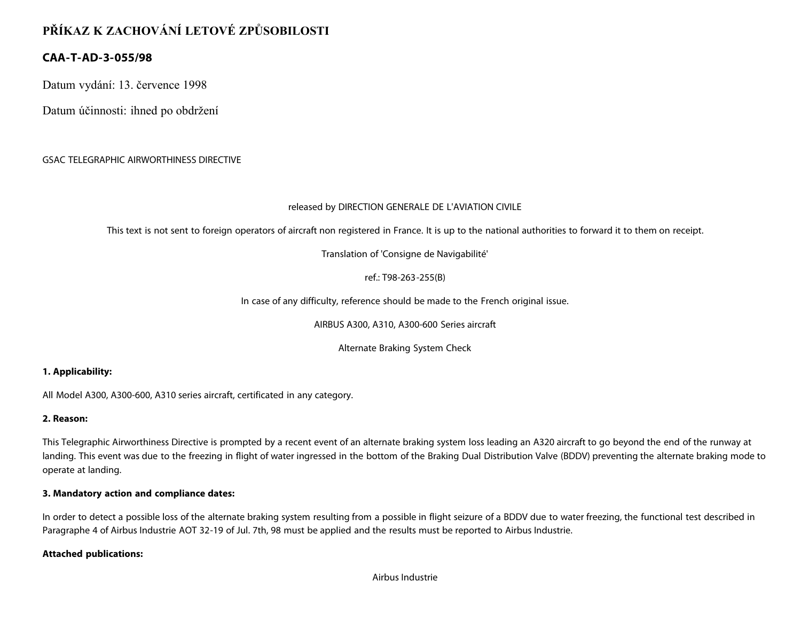# **PŘÍKAZ K ZACHOVÁNÍ LETOVÉ ZPŮSOBILOSTI**

## **CAA-T-AD-3-055/98**

Datum vydání: 13. července 1998

Datum účinnosti: ihned po obdržení

### GSAC TELEGRAPHIC AIRWORTHINESS DIRECTIVE

#### released by DIRECTION GENERALE DE L'AVIATION CIVILE

This text is not sent to foreign operators of aircraft non registered in France. It is up to the national authorities to forward it to them on receipt.

Translation of 'Consigne de Navigabilité'

ref.: T98-263-255(B)

In case of any difficulty, reference should be made to the French original issue.

AIRBUS A300, A310, A300-600 Series aircraft

Alternate Braking System Check

#### **1. Applicability:**

All Model A300, A300-600, A310 series aircraft, certificated in any category.

#### **2. Reason:**

This Telegraphic Airworthiness Directive is prompted by a recent event of an alternate braking system loss leading an A320 aircraft to go beyond the end of the runway at landing. This event was due to the freezing in flight of water ingressed in the bottom of the Braking Dual Distribution Valve (BDDV) preventing the alternate braking mode to operate at landing.

#### **3. Mandatory action and compliance dates:**

In order to detect a possible loss of the alternate braking system resulting from a possible in flight seizure of a BDDV due to water freezing, the functional test described in Paragraphe 4 of Airbus Industrie AOT 32-19 of Jul. 7th, 98 must be applied and the results must be reported to Airbus Industrie.

#### **Attached publications:**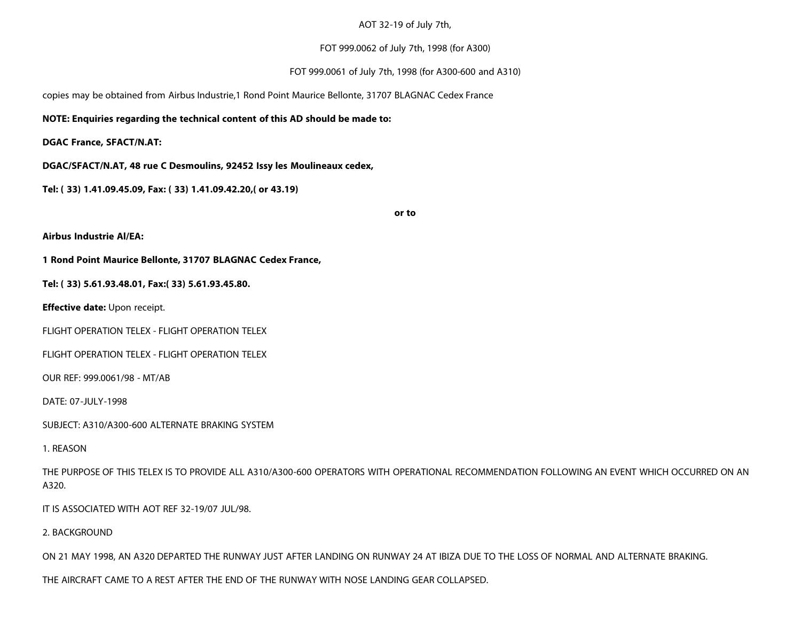#### AOT 32-19 of July 7th,

#### FOT 999.0062 of July 7th, 1998 (for A300)

#### FOT 999.0061 of July 7th, 1998 (for A300-600 and A310)

copies may be obtained from Airbus Industrie,1 Rond Point Maurice Bellonte, 31707 BLAGNAC Cedex France

#### **NOTE: Enquiries regarding the technical content of this AD should be made to:**

**DGAC France, SFACT/N.AT:**

**DGAC/SFACT/N.AT, 48 rue C Desmoulins, 92452 Issy les Moulineaux cedex,**

**Tel: ( 33) 1.41.09.45.09, Fax: ( 33) 1.41.09.42.20,( or 43.19)**

**or to**

**Airbus Industrie Al/EA:**

**1 Rond Point Maurice Bellonte, 31707 BLAGNAC Cedex France,**

**Tel: ( 33) 5.61.93.48.01, Fax:( 33) 5.61.93.45.80.**

**Effective date:** Upon receipt.

FLIGHT OPERATION TELEX - FLIGHT OPERATION TELEX

FLIGHT OPERATION TELEX - FLIGHT OPERATION TELEX

OUR REF: 999.0061/98 - MT/AB

DATE: 07-JULY-1998

SUBJECT: A310/A300-600 ALTERNATE BRAKING SYSTEM

1. REASON

THE PURPOSE OF THIS TELEX IS TO PROVIDE ALL A310/A300-600 OPERATORS WITH OPERATIONAL RECOMMENDATION FOLLOWING AN EVENT WHICH OCCURRED ON AN A320.

IT IS ASSOCIATED WITH AOT REF 32-19/07 JUL/98.

2. BACKGROUND

ON 21 MAY 1998, AN A320 DEPARTED THE RUNWAY JUST AFTER LANDING ON RUNWAY 24 AT IBIZA DUE TO THE LOSS OF NORMAL AND ALTERNATE BRAKING.

THE AIRCRAFT CAME TO A REST AFTER THE END OF THE RUNWAY WITH NOSE LANDING GEAR COLLAPSED.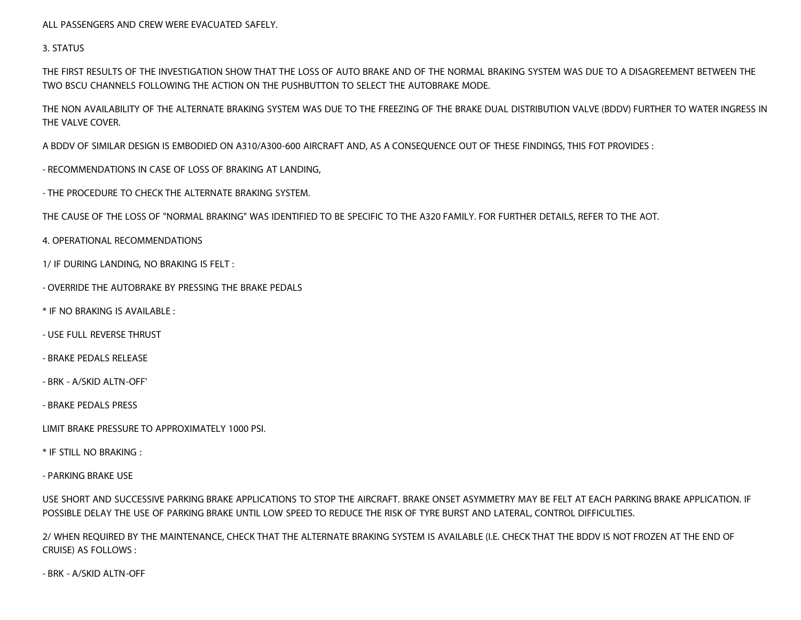ALL PASSENGERS AND CREW WERE EVACUATED SAFELY.

3. STATUS

THE FIRST RESULTS OF THE INVESTIGATION SHOW THAT THE LOSS OF AUTO BRAKE AND OF THE NORMAL BRAKING SYSTEM WAS DUE TO A DISAGREEMENT BETWEEN THE TWO BSCU CHANNELS FOLLOWING THE ACTION ON THE PUSHBUTTON TO SELECT THE AUTOBRAKE MODE.

THE NON AVAILABILITY OF THE ALTERNATE BRAKING SYSTEM WAS DUE TO THE FREEZING OF THE BRAKE DUAL DISTRIBUTION VALVE (BDDV) FURTHER TO WATER INGRESS IN THE VALVE COVER.

A BDDV OF SIMILAR DESIGN IS EMBODIED ON A310/A300-600 AIRCRAFT AND, AS A CONSEQUENCE OUT OF THESE FINDINGS, THIS FOT PROVIDES :

- RECOMMENDATIONS IN CASE OF LOSS OF BRAKING AT LANDING,

- THE PROCEDURE TO CHECK THE ALTERNATE BRAKING SYSTEM.

THE CAUSE OF THE LOSS OF "NORMAL BRAKING" WAS IDENTIFIED TO BE SPECIFIC TO THE A320 FAMILY. FOR FURTHER DETAILS, REFER TO THE AOT.

4. OPERATIONAL RECOMMENDATIONS

1/ IF DURING LANDING, NO BRAKING IS FELT :

- OVERRIDE THE AUTOBRAKE BY PRESSING THE BRAKE PEDALS

\* IF NO BRAKING IS AVAILABLE :

- USE FULL REVERSE THRUST

#### - BRAKE PEDALS RELEASE

- BRK - A/SKID ALTN-OFF'

- BRAKE PEDALS PRESS

LIMIT BRAKE PRESSURE TO APPROXIMATELY 1000 PSI.

\* IF STILL NO BRAKING :

- PARKING BRAKE USE

USE SHORT AND SUCCESSIVE PARKING BRAKE APPLICATIONS TO STOP THE AIRCRAFT. BRAKE ONSET ASYMMETRY MAY BE FELT AT EACH PARKING BRAKE APPLICATION. IF POSSIBLE DELAY THE USE OF PARKING BRAKE UNTIL LOW SPEED TO REDUCE THE RISK OF TYRE BURST AND LATERAL, CONTROL DIFFICULTIES.

2/ WHEN REQUIRED BY THE MAINTENANCE, CHECK THAT THE ALTERNATE BRAKING SYSTEM IS AVAILABLE (I.E. CHECK THAT THE BDDV IS NOT FROZEN AT THE END OF CRUISE) AS FOLLOWS :

- BRK - A/SKID ALTN-OFF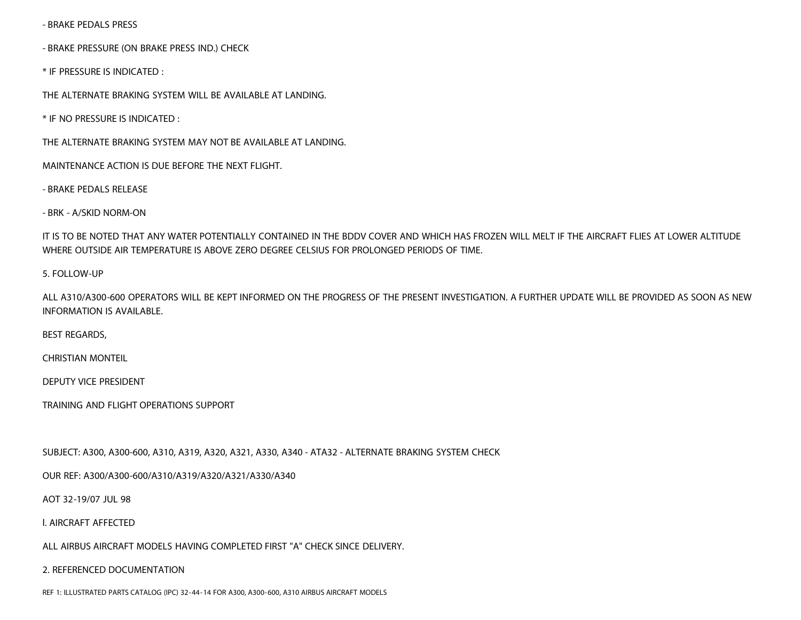- BRAKE PEDALS PRESS

- BRAKE PRESSURE (ON BRAKE PRESS IND.) CHECK

\* IF PRESSURE IS INDICATED :

THE ALTERNATE BRAKING SYSTEM WILL BE AVAILABLE AT LANDING.

\* IF NO PRESSURE IS INDICATED :

THE ALTERNATE BRAKING SYSTEM MAY NOT BE AVAILABLE AT LANDING.

MAINTENANCE ACTION IS DUE BEFORE THE NEXT FLIGHT.

- BRAKE PEDALS RELEASE

- BRK - A/SKID NORM-ON

IT IS TO BE NOTED THAT ANY WATER POTENTIALLY CONTAINED IN THE BDDV COVER AND WHICH HAS FROZEN WILL MELT IF THE AIRCRAFT FLIES AT LOWER ALTITUDE WHERE OUTSIDE AIR TEMPERATURE IS ABOVE ZERO DEGREE CELSIUS FOR PROLONGED PERIODS OF TIME.

#### 5. FOLLOW-UP

ALL A310/A300-600 OPERATORS WILL BE KEPT INFORMED ON THE PROGRESS OF THE PRESENT INVESTIGATION. A FURTHER UPDATE WILL BE PROVIDED AS SOON AS NEW INFORMATION IS AVAILABLE.

BEST REGARDS,

CHRISTIAN MONTEIL

DEPUTY VICE PRESIDENT

TRAINING AND FLIGHT OPERATIONS SUPPORT

SUBJECT: A300, A300-600, A310, A319, A320, A321, A330, A340 - ATA32 - ALTERNATE BRAKING SYSTEM CHECK

OUR REF: A300/A300-600/A310/A319/A320/A321/A330/A340

AOT 32-19/07 JUL 98

l. AIRCRAFT AFFECTED

ALL AIRBUS AIRCRAFT MODELS HAVING COMPLETED FIRST "A" CHECK SINCE DELIVERY.

2. REFERENCED DOCUMENTATION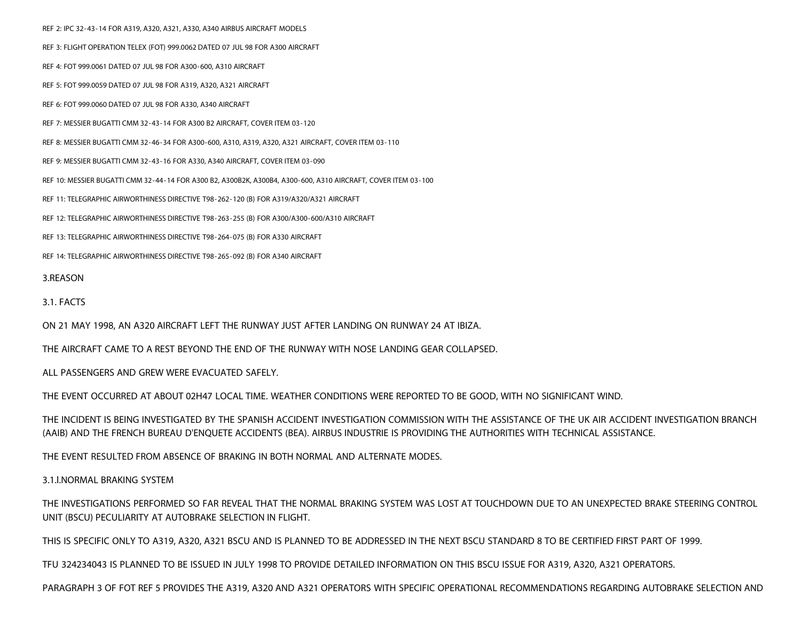REF 2: IPC 32-43-14 FOR A319, A320, A321, A330, A340 AIRBUS AIRCRAFT MODELS REF 3: FLIGHT OPERATION TELEX (FOT) 999.0062 DATED 07 JUL 98 FOR A300 AIRCRAFT REF 4: FOT 999.0061 DATED 07 JUL 98 FOR A300-600, A310 AIRCRAFT REF 5: FOT 999.0059 DATED 07 JUL 98 FOR A319, A320, A321 AIRCRAFT REF 6: FOT 999.0060 DATED 07 JUL 98 FOR A330, A340 AIRCRAFT REF 7: MESSIER BUGATTI CMM 32-43-14 FOR A300 B2 AIRCRAFT, COVER ITEM 03-120 REF 8: MESSIER BUGATTI CMM 32-46-34 FOR A300-600, A310, A319, A320, A321 AIRCRAFT, COVER ITEM 03-110 REF 9: MESSIER BUGATTI CMM 32-43-16 FOR A330, A340 AIRCRAFT, COVER ITEM 03-090 REF 10: MESSIER BUGATTI CMM 32-44-14 FOR A300 B2, A300B2K, A300B4, A300-600, A310 AIRCRAFT, COVER ITEM 03-100 REF 11: TELEGRAPHIC AIRWORTHINESS DIRECTIVE T98-262-120 (B) FOR A319/A320/A321 AIRCRAFT REF 12: TELEGRAPHIC AIRWORTHINESS DIRECTIVE T98-263-255 (B) FOR A300/A300-600/A310 AIRCRAFT REF 13: TELEGRAPHIC AIRWORTHINESS DIRECTIVE T98-264-075 (B) FOR A330 AIRCRAFT REF 14: TELEGRAPHIC AIRWORTHINESS DIRECTIVE T98-265-092 (B) FOR A340 AIRCRAFT 3.REASON

3.1. FACTS

ON 21 MAY 1998, AN A320 AIRCRAFT LEFT THE RUNWAY JUST AFTER LANDING ON RUNWAY 24 AT IBIZA.

THE AIRCRAFT CAME TO A REST BEYOND THE END OF THE RUNWAY WITH NOSE LANDING GEAR COLLAPSED.

ALL PASSENGERS AND GREW WERE EVACUATED SAFELY.

THE EVENT OCCURRED AT ABOUT 02H47 LOCAL TIME. WEATHER CONDITIONS WERE REPORTED TO BE GOOD, WITH NO SIGNIFICANT WIND.

THE INCIDENT IS BEING INVESTIGATED BY THE SPANISH ACCIDENT INVESTIGATION COMMISSION WITH THE ASSISTANCE OF THE UK AIR ACCIDENT INVESTIGATION BRANCH (AAIB) AND THE FRENCH BUREAU D'ENQUETE ACCIDENTS (BEA). AIRBUS INDUSTRIE IS PROVIDING THE AUTHORITIES WITH TECHNICAL ASSISTANCE.

THE EVENT RESULTED FROM ABSENCE OF BRAKING IN BOTH NORMAL AND ALTERNATE MODES.

3.1.l.NORMAL BRAKING SYSTEM

THE INVESTIGATIONS PERFORMED SO FAR REVEAL THAT THE NORMAL BRAKING SYSTEM WAS LOST AT TOUCHDOWN DUE TO AN UNEXPECTED BRAKE STEERING CONTROL UNIT (BSCU) PECULIARITY AT AUTOBRAKE SELECTION IN FLIGHT.

THIS IS SPECIFIC ONLY TO A319, A320, A321 BSCU AND IS PLANNED TO BE ADDRESSED IN THE NEXT BSCU STANDARD 8 TO BE CERTIFIED FIRST PART OF 1999.

TFU 324234043 IS PLANNED TO BE ISSUED IN JULY 1998 TO PROVIDE DETAILED INFORMATION ON THIS BSCU ISSUE FOR A319, A320, A321 OPERATORS.

PARAGRAPH 3 OF FOT REF 5 PROVIDES THE A319, A320 AND A321 OPERATORS WITH SPECIFIC OPERATIONAL RECOMMENDATIONS REGARDING AUTOBRAKE SELECTION AND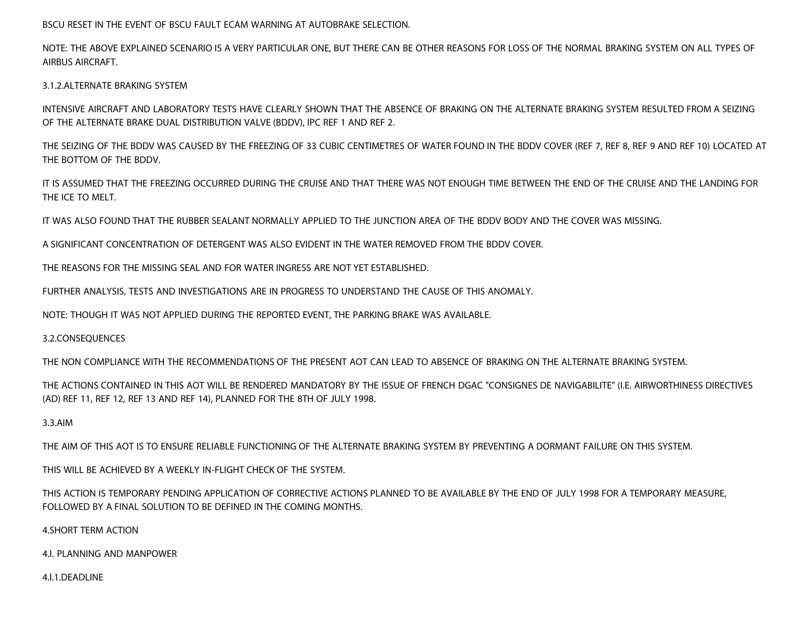BSCU RESET IN THE EVENT OF BSCU FAULT ECAM WARNING AT AUTOBRAKE SELECTION.

NOTE: THE ABOVE EXPLAINED SCENARIO IS A VERY PARTICULAR ONE, BUT THERE CAN BE OTHER REASONS FOR LOSS OF THE NORMAL BRAKING SYSTEM ON ALL TYPES OF AIRBUS AIRCRAFT.

3.1.2.ALTERNATE BRAKING SYSTEM

INTENSIVE AIRCRAFT AND LABORATORY TESTS HAVE CLEARLY SHOWN THAT THE ABSENCE OF BRAKING ON THE ALTERNATE BRAKING SYSTEM RESULTED FROM A SEIZING OF THE ALTERNATE BRAKE DUAL DISTRIBUTION VALVE (BDDV), IPC REF 1 AND REF 2.

THE SEIZING OF THE BDDV WAS CAUSED BY THE FREEZING OF 33 CUBIC CENTIMETRES OF WATER FOUND IN THE BDDV COVER (REF 7, REF 8, REF 9 AND REF 10) LOCATED AT THE BOTTOM OF THE BDDV.

IT IS ASSUMED THAT THE FREEZING OCCURRED DURING THE CRUISE AND THAT THERE WAS NOT ENOUGH TIME BETWEEN THE END OF THE CRUISE AND THE LANDING FOR THE ICE TO MELT.

IT WAS ALSO FOUND THAT THE RUBBER SEALANT NORMALLY APPLIED TO THE JUNCTION AREA OF THE BDDV BODY AND THE COVER WAS MISSING.

A SIGNIFICANT CONCENTRATION OF DETERGENT WAS ALSO EVIDENT IN THE WATER REMOVED FROM THE BDDV COVER.

THE REASONS FOR THE MISSING SEAL AND FOR WATER INGRESS ARE NOT YET ESTABLISHED.

FURTHER ANALYSIS, TESTS AND INVESTIGATIONS ARE IN PROGRESS TO UNDERSTAND THE CAUSE OF THIS ANOMALY.

NOTE: THOUGH IT WAS NOT APPLIED DURING THE REPORTED EVENT, THE PARKING BRAKE WAS AVAILABLE.

3.2.CONSEQUENCES

THE NON COMPLIANCE WITH THE RECOMMENDATIONS OF THE PRESENT AOT CAN LEAD TO ABSENCE OF BRAKING ON THE ALTERNATE BRAKING SYSTEM.

THE ACTIONS CONTAINED IN THIS AOT WILL BE RENDERED MANDATORY BY THE ISSUE OF FRENCH DGAC "CONSIGNES DE NAVIGABILITE" (I.E. AIRWORTHINESS DIRECTIVES (AD) REF 11, REF 12, REF 13 AND REF 14), PLANNED FOR THE 8TH OF JULY 1998.

3.3.AIM

THE AIM OF THIS AOT IS TO ENSURE RELIABLE FUNCTIONING OF THE ALTERNATE BRAKING SYSTEM BY PREVENTING A DORMANT FAILURE ON THIS SYSTEM.

THIS WILL BE ACHIEVED BY A WEEKLY IN-FLIGHT CHECK OF THE SYSTEM.

THIS ACTION IS TEMPORARY PENDING APPLICATION OF CORRECTIVE ACTIONS PLANNED TO BE AVAILABLE BY THE END OF JULY 1998 FOR A TEMPORARY MEASURE, FOLLOWED BY A FINAL SOLUTION TO BE DEFINED IN THE COMING MONTHS.

4.SHORT TERM ACTION

4.l. PLANNING AND MANPOWER

4.l.1.DEADLINE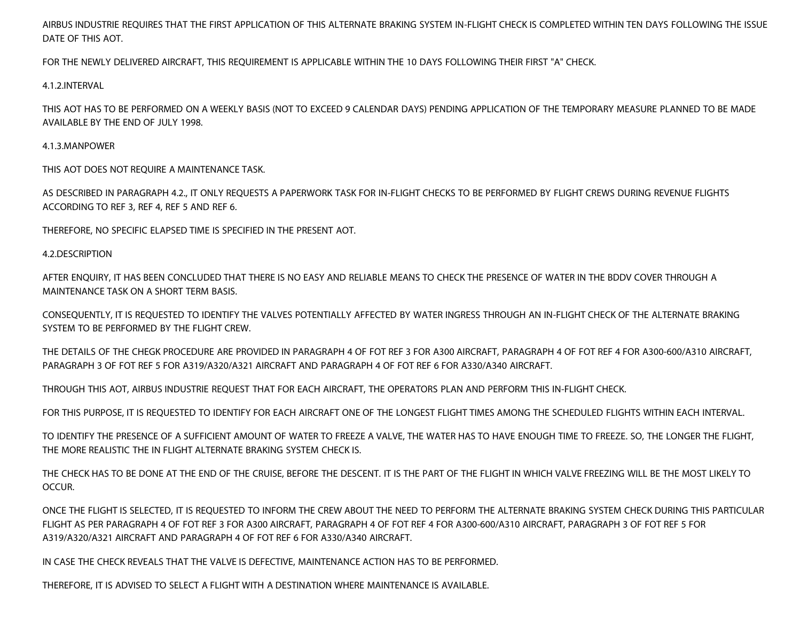AIRBUS INDUSTRIE REQUIRES THAT THE FIRST APPLICATION OF THIS ALTERNATE BRAKING SYSTEM IN-FLIGHT CHECK IS COMPLETED WITHIN TEN DAYS FOLLOWING THE ISSUE DATE OF THIS AOT.

FOR THE NEWLY DELIVERED AIRCRAFT, THIS REQUIREMENT IS APPLICABLE WITHIN THE 10 DAYS FOLLOWING THEIR FIRST "A" CHECK.

4.1.2.INTERVAL

THIS AOT HAS TO BE PERFORMED ON A WEEKLY BASIS (NOT TO EXCEED 9 CALENDAR DAYS) PENDING APPLICATION OF THE TEMPORARY MEASURE PLANNED TO BE MADE AVAILABLE BY THE END OF JULY 1998.

#### 4.1.3.MANPOWER

THIS AOT DOES NOT REQUIRE A MAINTENANCE TASK.

AS DESCRIBED IN PARAGRAPH 4.2., IT ONLY REQUESTS A PAPERWORK TASK FOR IN-FLIGHT CHECKS TO BE PERFORMED BY FLIGHT CREWS DURING REVENUE FLIGHTS ACCORDING TO REF 3, REF 4, REF 5 AND REF 6.

THEREFORE, NO SPECIFIC ELAPSED TIME IS SPECIFIED IN THE PRESENT AOT.

#### 4.2.DESCRIPTION

AFTER ENQUIRY, IT HAS BEEN CONCLUDED THAT THERE IS NO EASY AND RELIABLE MEANS TO CHECK THE PRESENCE OF WATER IN THE BDDV COVER THROUGH A MAINTENANCE TASK ON A SHORT TERM BASIS.

CONSEQUENTLY, IT IS REQUESTED TO IDENTIFY THE VALVES POTENTIALLY AFFECTED BY WATER INGRESS THROUGH AN IN-FLIGHT CHECK OF THE ALTERNATE BRAKING SYSTEM TO BE PERFORMED BY THE FLIGHT CREW.

THE DETAILS OF THE CHEGK PROCEDURE ARE PROVIDED IN PARAGRAPH 4 OF FOT REF 3 FOR A300 AIRCRAFT, PARAGRAPH 4 OF FOT REF 4 FOR A300-600/A310 AIRCRAFT, PARAGRAPH 3 OF FOT REF 5 FOR A319/A320/A321 AIRCRAFT AND PARAGRAPH 4 OF FOT REF 6 FOR A330/A340 AIRCRAFT.

THROUGH THIS AOT, AIRBUS INDUSTRIE REQUEST THAT FOR EACH AIRCRAFT, THE OPERATORS PLAN AND PERFORM THIS IN-FLIGHT CHECK.

FOR THIS PURPOSE, IT IS REQUESTED TO IDENTIFY FOR EACH AIRCRAFT ONE OF THE LONGEST FLIGHT TIMES AMONG THE SCHEDULED FLIGHTS WITHIN EACH INTERVAL.

TO IDENTIFY THE PRESENCE OF A SUFFICIENT AMOUNT OF WATER TO FREEZE A VALVE, THE WATER HAS TO HAVE ENOUGH TIME TO FREEZE. SO, THE LONGER THE FLIGHT, THE MORE REALISTIC THE IN FLIGHT ALTERNATE BRAKING SYSTEM CHECK IS.

THE CHECK HAS TO BE DONE AT THE END OF THE CRUISE, BEFORE THE DESCENT. IT IS THE PART OF THE FLIGHT IN WHICH VALVE FREEZING WILL BE THE MOST LIKELY TO OCCUR.

ONCE THE FLIGHT IS SELECTED, IT IS REQUESTED TO INFORM THE CREW ABOUT THE NEED TO PERFORM THE ALTERNATE BRAKING SYSTEM CHECK DURING THIS PARTICULAR FLIGHT AS PER PARAGRAPH 4 OF FOT REF 3 FOR A300 AIRCRAFT, PARAGRAPH 4 OF FOT REF 4 FOR A300-600/A310 AIRCRAFT, PARAGRAPH 3 OF FOT REF 5 FOR A319/A320/A321 AIRCRAFT AND PARAGRAPH 4 OF FOT REF 6 FOR A330/A340 AIRCRAFT.

IN CASE THE CHECK REVEALS THAT THE VALVE IS DEFECTIVE, MAINTENANCE ACTION HAS TO BE PERFORMED.

THEREFORE, IT IS ADVISED TO SELECT A FLIGHT WITH A DESTINATION WHERE MAINTENANCE IS AVAILABLE.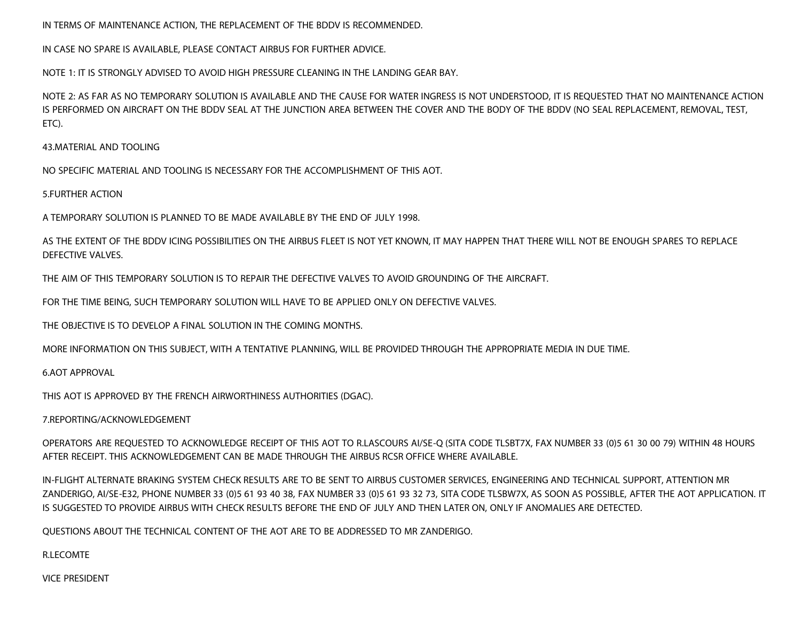IN TERMS OF MAINTENANCE ACTION, THE REPLACEMENT OF THE BDDV IS RECOMMENDED.

IN CASE NO SPARE IS AVAILABLE, PLEASE CONTACT AIRBUS FOR FURTHER ADVICE.

NOTE 1: IT IS STRONGLY ADVISED TO AVOID HIGH PRESSURE CLEANING IN THE LANDING GEAR BAY.

NOTE 2: AS FAR AS NO TEMPORARY SOLUTION IS AVAILABLE AND THE CAUSE FOR WATER INGRESS IS NOT UNDERSTOOD, IT IS REQUESTED THAT NO MAINTENANCE ACTION IS PERFORMED ON AIRCRAFT ON THE BDDV SEAL AT THE JUNCTION AREA BETWEEN THE COVER AND THE BODY OF THE BDDV (NO SEAL REPLACEMENT, REMOVAL, TEST, ETC).

43.MATERIAL AND TOOLING

NO SPECIFIC MATERIAL AND TOOLING IS NECESSARY FOR THE ACCOMPLISHMENT OF THIS AOT.

5.FURTHER ACTION

A TEMPORARY SOLUTION IS PLANNED TO BE MADE AVAILABLE BY THE END OF JULY 1998.

AS THE EXTENT OF THE BDDV ICING POSSIBILITIES ON THE AIRBUS FLEET IS NOT YET KNOWN, IT MAY HAPPEN THAT THERE WILL NOT BE ENOUGH SPARES TO REPLACE DEFECTIVE VALVES.

THE AIM OF THIS TEMPORARY SOLUTION IS TO REPAIR THE DEFECTIVE VALVES TO AVOID GROUNDING OF THE AIRCRAFT.

FOR THE TIME BEING, SUCH TEMPORARY SOLUTION WILL HAVE TO BE APPLIED ONLY ON DEFECTIVE VALVES.

THE OBJECTIVE IS TO DEVELOP A FINAL SOLUTION IN THE COMING MONTHS.

MORE INFORMATION ON THIS SUBJECT, WITH A TENTATIVE PLANNING, WILL BE PROVIDED THROUGH THE APPROPRIATE MEDIA IN DUE TIME.

6.AOT APPROVAL

THIS AOT IS APPROVED BY THE FRENCH AIRWORTHINESS AUTHORITIES (DGAC).

7.REPORTING/ACKNOWLEDGEMENT

OPERATORS ARE REQUESTED TO ACKNOWLEDGE RECEIPT OF THIS AOT TO R.LASCOURS AI/SE-Q (SITA CODE TLSBT7X, FAX NUMBER 33 (0)5 61 30 00 79) WITHIN 48 HOURS AFTER RECEIPT. THIS ACKNOWLEDGEMENT CAN BE MADE THROUGH THE AIRBUS RCSR OFFICE WHERE AVAILABLE.

IN-FLIGHT ALTERNATE BRAKING SYSTEM CHECK RESULTS ARE TO BE SENT TO AIRBUS CUSTOMER SERVICES, ENGINEERING AND TECHNICAL SUPPORT, ATTENTION MR ZANDERIGO, AI/SE-E32, PHONE NUMBER 33 (0)5 61 93 40 38, FAX NUMBER 33 (0)5 61 93 32 73, SITA CODE TLSBW7X, AS SOON AS POSSIBLE, AFTER THE AOT APPLICATION. IT IS SUGGESTED TO PROVIDE AIRBUS WITH CHECK RESULTS BEFORE THE END OF JULY AND THEN LATER ON, ONLY IF ANOMALIES ARE DETECTED.

QUESTIONS ABOUT THE TECHNICAL CONTENT OF THE AOT ARE TO BE ADDRESSED TO MR ZANDERIGO.

#### R.LECOMTE

VICE PRESIDENT